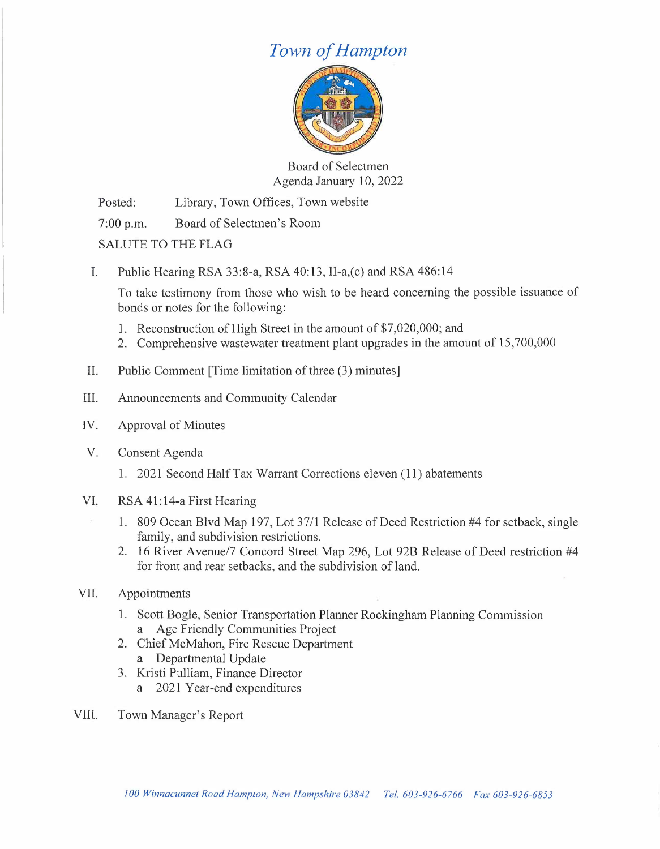# *Town of Hampton*



Board of Selectmen Agenda January 10, 2022

Posted: Library, Town Offices, Town website

7:00 p.m. Board of Selectmen's Room

SALUTE TO THE FLAG

I. Public Hearing RSA 33:8-a, RSA 40:13, II-a,(c) and RSA 486:14

To take testimony from those who wish to be heard concerning the possible issuance of bonds or notes for the following:

- 1. Reconstruction of High Street in the amount of \$7,020,000; and
- 2. Comprehensive wastewater treatment plant upgrades in the amount of 15,700,000
- II. Public Comment [Time limitation of three (3) minutes]
- III. Announcements and Community Calendar
- IV. Approval of Minutes
- V. Consent Agenda
	- 1. 2021 Second Half Tax Warrant Corrections eleven (11) abatements
- VI. RSA 41:14-a First Hearing
	- 1. 809 Ocean Blvd Map 197, Lot 37/1 Release of Deed Restriction #4 for setback, single family, and subdivision restrictions.
	- 2. 16 River Avenue/7 Concord Street Map 296, Lot 92B Release of Deed restriction #4 for front and rear setbacks, and the subdivision of land.
- VII. Appointments
	- 1. Scott Bogle, Senior Transportation Planner Rockingham Planning Commission a Age Friendly Communities Project
	- 2. Chief McMahon, Fire Rescue Department
		- a Departmental Update
	- 3. Kristi Pulliam, Finance Director
		- a 2021 Year-end expenditures
- VIII. Town Manager's Report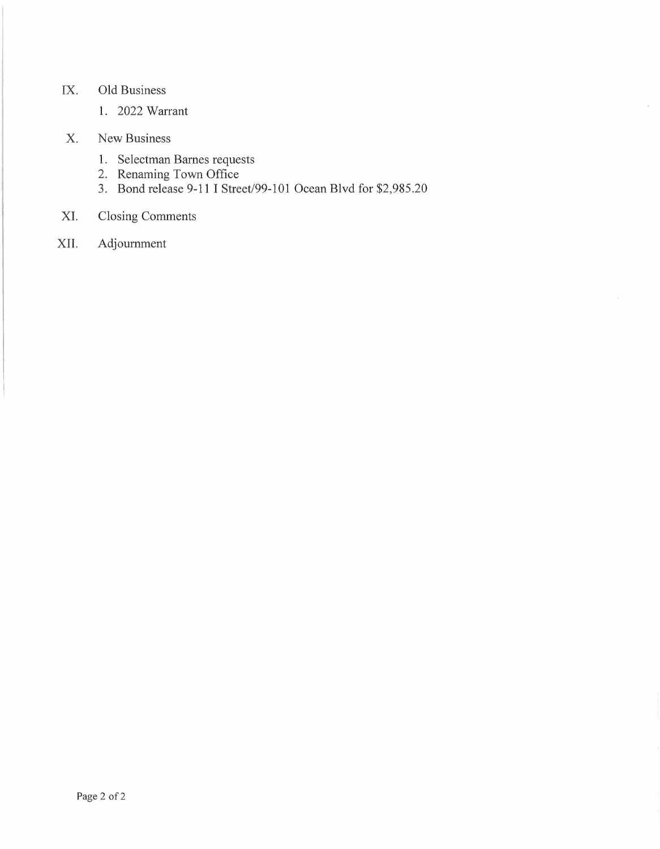## IX. Old Business

1. 2022 Warrant

### X. New Business

- 1. Selectman Barnes requests
- 2. Renaming Town Office
- 3. Bond release 9-11 I Street/99-101 Ocean Blvd for \$2,985.20

 $\tilde{\epsilon}$ 

## XI. Closing Comments

XII. Adjournment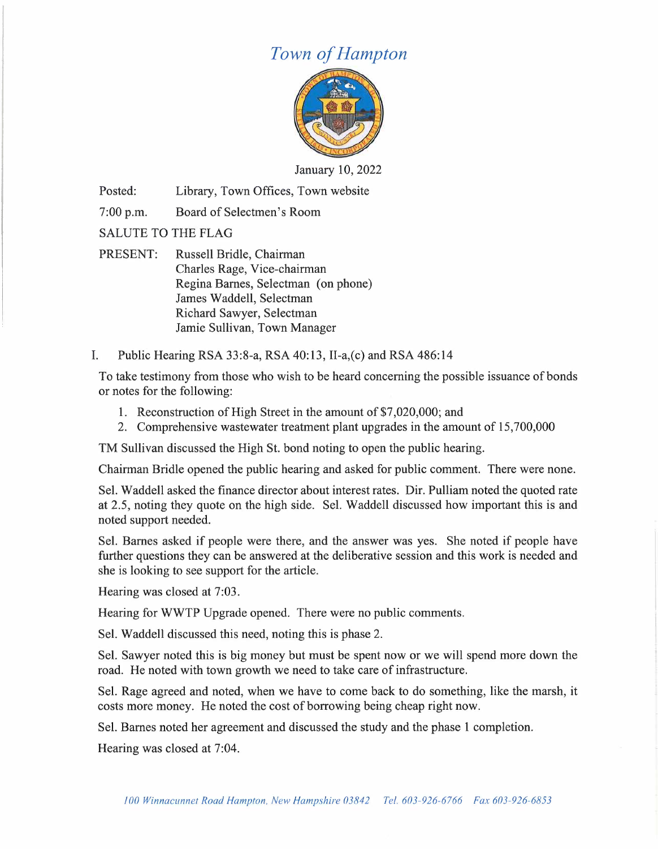# *Town of Hampton*



January 10, 2022

Posted: Library, Town Offices, Town website

7:00 p.m. Board of Selectmen's Room

SALUTE TO THE FLAG

- PRESENT: Russell Bridle, Chairman Charles Rage, Vice-chairman Regina Barnes, Selectman ( on phone) James Waddell, Selectman Richard Sawyer, Selectman Jamie Sullivan, Town Manager
- I. Public Hearing RSA 33:8-a, RSA 40:13, 11-a,(c) and RSA 486:14

To take testimony from those who wish to be heard concerning the possible issuance of bonds or notes for the following:

- 1. Reconstruction of High Street in the amount of \$7,020,000; and
- 2. Comprehensive wastewater treatment plant upgrades in the amount of 15,700,000

TM Sullivan discussed the High St. bond noting to open the public hearing.

Chairman Bridle opened the public hearing and asked for public comment. There were none.

Sel. Waddell asked the finance director about interest rates. Dir. Pulliam noted the quoted rate at 2.5, noting they quote on the high side. Sel. Waddell discussed how important this is and noted support needed.

Sel. Barnes asked if people were there, and the answer was yes. She noted if people have further questions they can be answered at the deliberative session and this work is needed and she is looking to see support for the article.

Hearing was closed at 7:03.

Hearing for WWTP Upgrade opened. There were no public comments.

Sel. Waddell discussed this need, noting this is phase 2.

Sel. Sawyer noted this is big money but must be spent now or we will spend more down the road. He noted with town growth we need to take care of infrastructure.

Sel. Rage agreed and noted, when we have to come back to do something, like the marsh, it costs more money. He noted the cost of borrowing being cheap right now.

Sel. Barnes noted her agreement and discussed the study and the phase 1 completion.

Hearing was closed at 7:04.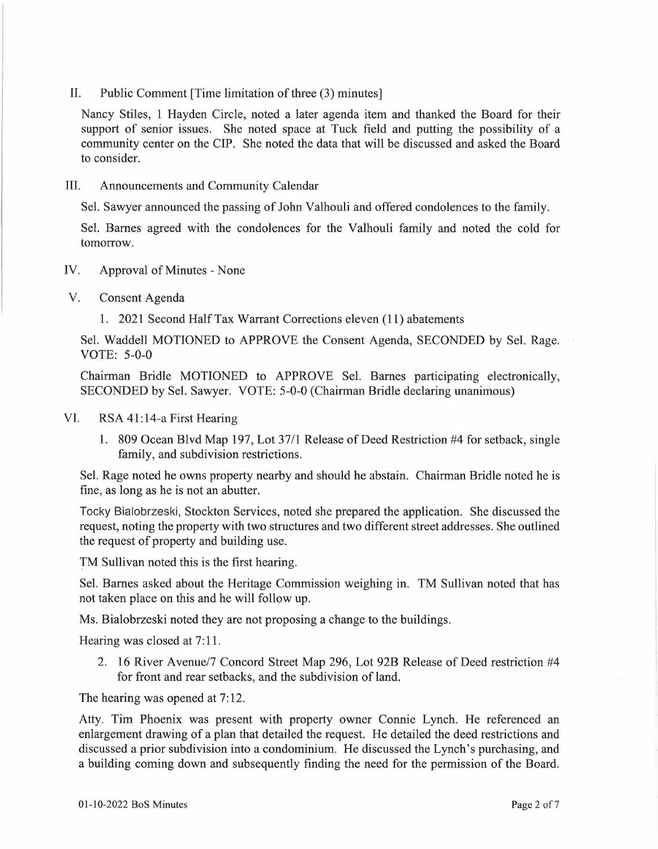II. Public Comment [Time limitation of three (3) minutes]

Nancy Stiles, 1 Hayden Circle, noted a later agenda item and thanked the Board for their support of senior issues. She noted space at Tuck field and putting the possibility of a community center on the CIP. She noted the data that will be discussed and asked the Board to consider.

III. Announcements and Community Calendar

Sel. Sawyer announced the passing of John Valhouli and offered condolences to the family.

Sel. Barnes agreed with the condolences for the Valhouli family and noted the cold for tomorrow.

- IV. Approval of Minutes None
- V. Consent Agenda
	- 1. 2021 Second Half Tax Warrant Corrections eleven (11) abatements

Sel. Waddell MOTIONED to APPROVE the Consent Agenda, SECONDED by Sel. Rage. VOTE: 5-0-0

Chairman Bridle MOTIONED to APPROVE Sel. Barnes participating electronically, SECONDED by Sel. Sawyer. VOTE: 5-0-0 (Chairman Bridle declaring unanimous)

- VI. RSA 41:14-a First Hearing
	- 1. 809 Ocean Blvd Map 197, Lot 37/1 Release of Deed Restriction #4 for setback, single family, and subdivision restrictions.

Sel. Rage noted he owns property nearby and should he abstain. Chairman Bridle noted he is fine, as long as he is not an abutter.

Tocky Bialobrzeski, Stockton Services, noted she prepared the application. She discussed the request, noting the property with two structures and two different street addresses. She outlined the request of property and building use.

TM Sullivan noted this is the first hearing.

Sel. Barnes asked about the Heritage Commission weighing in. TM Sullivan noted that has not taken place on this and he will follow up.

Ms. Bialobrzeski noted they are not proposing a change to the buildings.

Hearing was closed at 7:11.

2. 16 River Avenue/7 Concord Street Map 296, Lot 92B Release of Deed restriction #4 for front and rear setbacks, and the subdivision of land.

The hearing was opened at 7:12.

Atty. Tim Phoenix was present with property owner Connie Lynch. He referenced an enlargement drawing of a plan that detailed the request. He detailed the deed restrictions and discussed a prior subdivision into a condominium. He discussed the Lynch's purchasing, and a building coming down and subsequently finding the need for the permission of the Board.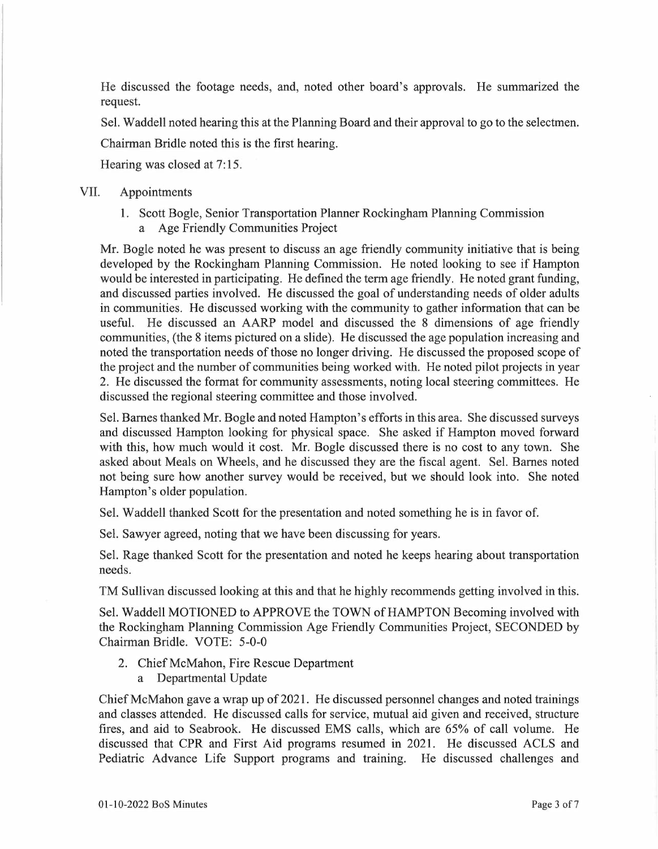He discussed the footage needs, and, noted other board's approvals. He summarized the request.

Sel. Waddell noted hearing this at the Planning Board and their approval to go to the selectmen.

Chairman Bridle noted this is the first hearing.

Hearing was closed at 7:15.

### VII. Appointments

1. Scott Bogle, Senior Transportation Planner Rockingham Planning Commission a Age Friendly Communities Project

Mr. Bogle noted he was present to discuss an age friendly community initiative that is being developed by the Rockingham Planning Commission. He noted looking to see if Hampton would be interested in participating. He defined the term age friendly. He noted grant funding, and discussed parties involved. He discussed the goal of understanding needs of older adults in communities. He discussed working with the community to gather information that can be useful. He discussed an AARP model and discussed the 8 dimensions of age friendly communities, (the 8 items pictured on a slide). He discussed the age population increasing and noted the transportation needs of those no longer driving. He discussed the proposed scope of the project and the number of communities being worked with. He noted pilot projects in year 2. He discussed the format for community assessments, noting local steering committees. He discussed the regional steering committee and those involved.

Sel. Barnes thanked Mr. Bogle and noted Hampton's efforts in this area. She discussed surveys and discussed Hampton looking for physical space. She asked if Hampton moved forward with this, how much would it cost. Mr. Bogle discussed there is no cost to any town. She asked about Meals on Wheels, and he discussed they are the fiscal agent. Sel. Barnes noted not being sure how another survey would be received, but we should look into. She noted Hampton's older population.

Sel. Waddell thanked Scott for the presentation and noted something he is in favor of.

Sel. Sawyer agreed, noting that we have been discussing for years.

Sel. Rage thanked Scott for the presentation and noted he keeps hearing about transportation needs.

TM Sullivan discussed looking at this and that he highly recommends getting involved in this.

Sel. Waddell MOTIONED to APPROVE the TOWN of HAMPTON Becoming involved with the Rockingham Planning Commission Age Friendly Communities Project, SECONDED by Chairman Bridle. VOTE: 5-0-0

- 2. Chief McMahon, Fire Rescue Department
	- a Departmental Update

Chief McMahon gave a wrap up of 2021. He discussed personnel changes and noted trainings and classes attended. He discussed calls for service, mutual aid given and received, structure fires, and aid to Seabrook. He discussed EMS calls, which are 65% of call volume. He discussed that CPR and First Aid programs resumed in 2021. He discussed ACLS and Pediatric Advance Life Support programs and training. He discussed challenges and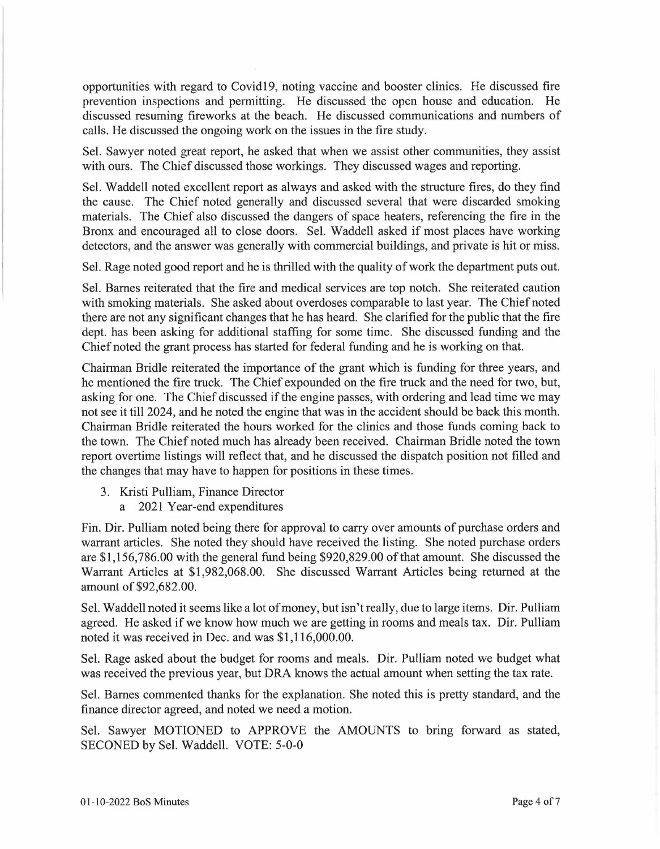opportunities with regard to Covid19, noting vaccine and booster clinics. He discussed fire prevention inspections and permitting. He discussed the open house and education. He discussed resuming fireworks at the beach. He discussed communications and numbers of calls. He discussed the ongoing work on the issues in the fire study.

Sel. Sawyer noted great report, he asked that when we assist other communities, they assist with ours. The Chief discussed those workings. They discussed wages and reporting.

Sel. Waddell noted excellent report as always and asked with the structure fires, do they find the cause. The Chief noted generally and discussed several that were discarded smoking materials. The Chief also discussed the dangers of space heaters, referencing the fire in the Bronx and encouraged all to close doors. Sel. Waddell asked if most places have working detectors, and the answer was generally with commercial buildings, and private is hit or miss.

Sel. Rage noted good report and he is thrilled with the quality of work the department puts out.

Sel. Barnes reiterated that the fire and medical services are top notch. She reiterated caution with smoking materials. She asked about overdoses comparable to last year. The Chief noted there are not any significant changes that he has heard. She clarified for the public that the fire dept. has been asking for additional staffing for some time. She discussed funding and the Chief noted the grant process has started for federal funding and he is working on that.

Chairman Bridle reiterated the importance of the grant which is funding for three years, and he mentioned the fire truck. The Chief expounded on the fire truck and the need for two, but, asking for one. The Chief discussed if the engine passes, with ordering and lead time we may not see it till 2024, and he noted the engine that was in the accident should be back this month. Chairman Bridle reiterated the hours worked for the clinics and those funds coming back to the town. The Chief noted much has already been received. Chairman Bridle noted the town report overtime listings will reflect that, and he discussed the dispatch position not filled and the changes that may have to happen for positions in these times.

- 3. Kristi Pulliam, Finance Director
	- a 2021 Year-end expenditures

Fin. Dir. Pulliam noted being there for approval to carry over amounts of purchase orders and warrant articles. She noted they should have received the listing. She noted purchase orders are \$1,156,786.00 with the general fund being \$920,829.00 of that amount. She discussed the Warrant Articles at \$1,982,068.00. She discussed Warrant Articles being returned at the amount of \$92,682.00.

Sel. Waddell noted it seems like a lot of money, but isn't really, due to large items. Dir. Pulliam agreed. He asked if we know how much we are getting in rooms and meals tax. Dir. Pulliam noted it was received in Dec. and was \$1,116,000.00.

Sel. Rage asked about the budget for rooms and meals. Dir. Pulliam noted we budget what was received the previous year, but DRA knows the actual amount when setting the tax rate.

Sel. Barnes commented thanks for the explanation. She noted this is pretty standard, and the finance director agreed, and noted we need a motion.

Sel. Sawyer MOTIONED to APPROVE the AMOUNTS to bring forward as stated, SECONED by Sel. Waddell. VOTE: 5-0-0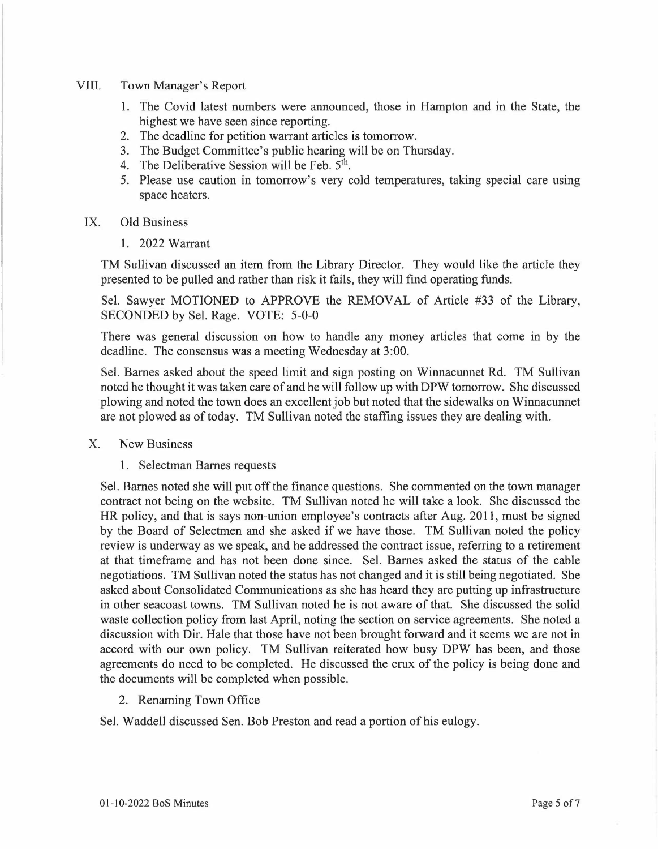#### VIII. Town Manager's Report

- 1. The Covid latest numbers were announced, those in Hampton and in the State, the highest we have seen since reporting.
- 2. The deadline for petition warrant articles is tomorrow.
- 3. The Budget Committee's public hearing will be on Thursday.
- 4. The Deliberative Session will be Feb.  $5<sup>th</sup>$ .
- 5. Please use caution in tomorrow's very cold temperatures, taking special care using space heaters.
- IX. Old Business
	- 1. 2022 Warrant

TM Sullivan discussed an item from the Library Director. They would like the article they presented to be pulled and rather than risk it fails, they will find operating funds.

Sel. Sawyer MOTIONED to APPROVE the REMOVAL of Article #33 of the Library, SECONDED by Sel. Rage. VOTE: 5-0-0

There was general discussion on how to handle any money articles that come in by the deadline. The consensus was a meeting Wednesday at 3:00.

Sel. Barnes asked about the speed limit and sign posting on Winnacunnet Rd. TM Sullivan noted he thought it was taken care of and he will follow up with DPW tomorrow. She discussed plowing and noted the town does an excellent job but noted that the sidewalks on Winnacunnet are not plowed as of today. TM Sullivan noted the staffing issues they are dealing with.

### X. New Business

1. Selectman Barnes requests

Sel. Barnes noted she will put off the finance questions. She commented on the town manager contract not being on the website. TM Sullivan noted he will take a look. She discussed the HR policy, and that is says non-union employee's contracts after Aug. 2011, must be signed by the Board of Selectmen and she asked if we have those. TM Sullivan noted the policy review is underway as we speak, and he addressed the contract issue, referring to a retirement at that timeframe and has not been done since. Sel. Barnes asked the status of the cable negotiations. TM Sullivan noted the status has not changed and it is still being negotiated. She asked about Consolidated Communications as she has heard they are putting up infrastructure in other seacoast towns. TM Sullivan noted he is not aware of that. She discussed the solid waste collection policy from last April, noting the section on service agreements. She noted a discussion with Dir. Hale that those have not been brought forward and it seems we are not in accord with our own policy. TM Sullivan reiterated how busy DPW has been, and those agreements do need to be completed. He discussed the crux of the policy is being done and the documents will be completed when possible.

2. Renaming Town Office

Sel. Waddell discussed Sen. Bob Preston and read a portion of his eulogy.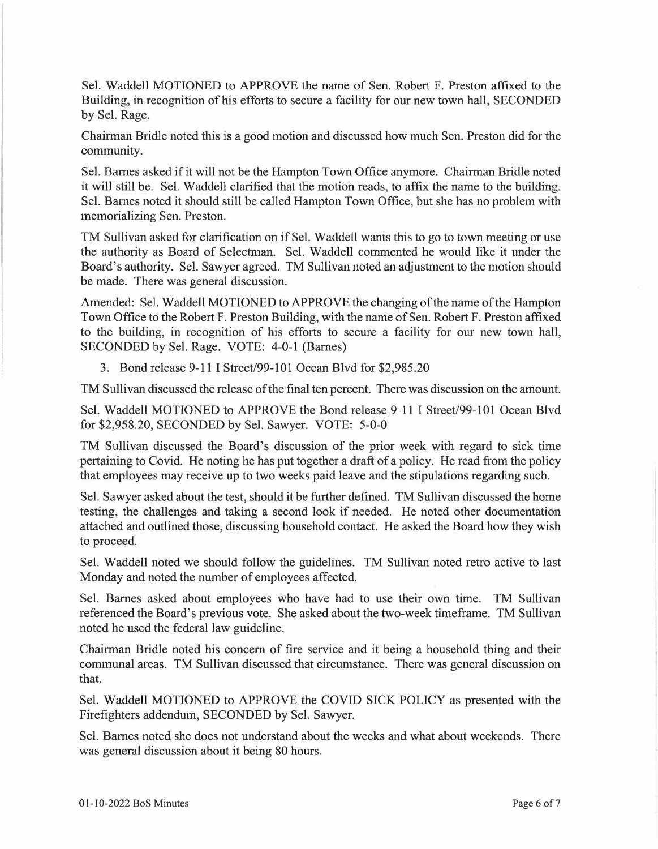Sel. Waddell MOTIONED to APPROVE the name of Sen. Robert F. Preston affixed to the Building, in recognition of his efforts to secure a facility for our new town hall, SECONDED by Sel. Rage.

Chairman Bridle noted this is a good motion and discussed how much Sen. Preston did for the community.

Sel. Barnes asked if it will not be the Hampton Town Office anymore. Chairman Bridle noted it will still be. Sel. Waddell clarified that the motion reads, to affix the name to the building. Sel. Barnes noted it should still be called Hampton Town Office, but she has no problem with memorializing Sen. Preston.

TM Sullivan asked for clarification on if Sel. Waddell wants this to go to town meeting or use the authority as Board of Selectman. Sel. Waddell commented he would like it under the Board's authority. Sel. Sawyer agreed. TM Sullivan noted an adjustment to the motion should be made. There was general discussion.

Amended: Sel. Waddell MOTIONED to APPROVE the changing of the name of the Hampton Town Office to the Robert F. Preston Building, with the name of Sen. Robert F. Preston affixed to the building, in recognition of his efforts to secure a facility for our new town hall, SECONDED by Sel. Rage. VOTE: 4-0-1 (Barnes)

3. Bond release 9-11 I Street/99-101 Ocean Blvd for \$2,985.20

TM Sullivan discussed the release of the final ten percent. There was discussion on the amount.

Sel. Waddell MOTIONED to APPROVE the Bond release 9-11 I Street/99-101 Ocean Blvd for \$2,958.20, SECONDED by Sel. Sawyer. VOTE: 5-0-0

TM Sullivan discussed the Board's discussion of the prior week with regard to sick time pertaining to Covid. He noting he has put together a draft of a policy. He read from the policy that employees may receive up to two weeks paid leave and the stipulations regarding such.

Sel. Sawyer asked about the test, should it be further defined. TM Sullivan discussed the home testing, the challenges and taking a second look if needed. He noted other documentation attached and outlined those, discussing household contact. He asked the Board how they wish to proceed.

Sel. Waddell noted we should follow the guidelines. TM Sullivan noted retro active to last Monday and noted the number of employees affected.

Sel. Barnes asked about employees who have had to use their own time. TM Sullivan referenced the Board's previous vote. She asked about the two-week timeframe. TM Sullivan noted he used the federal law guideline.

Chairman Bridle noted his concern of fire service and it being a household thing and their communal areas. TM Sullivan discussed that circumstance. There was general discussion on that.

Sel. Waddell MOTIONED to APPROVE the COVID SICK POLICY as presented with the Firefighters addendum, SECONDED by Sel. Sawyer.

Sel. Barnes noted she does not understand about the weeks and what about weekends. There was general discussion about it being 80 hours.